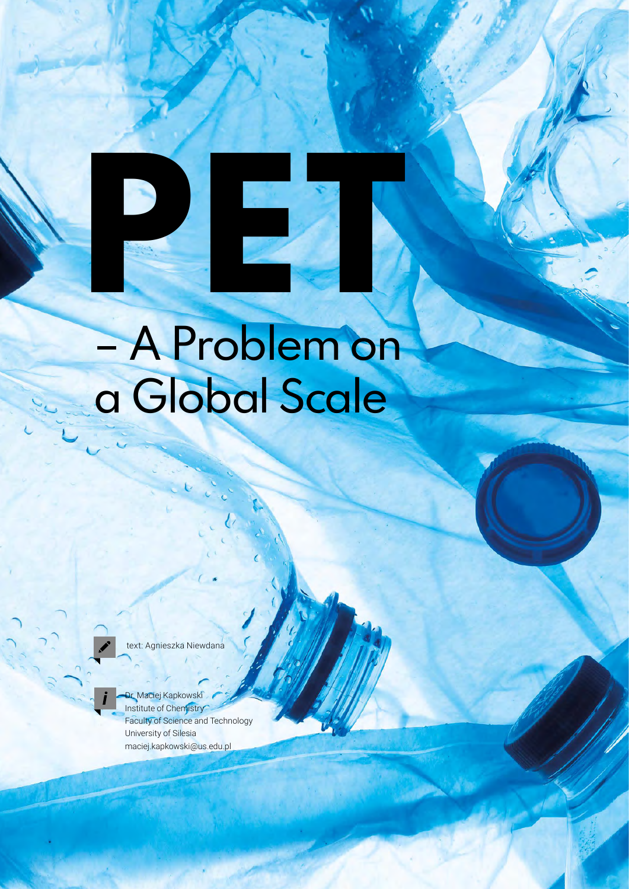## – A Problem on a Global Scale

**PETER** 

text: Agnieszka Niewdana

Dr. Maciej Kapkowski Institute of Chemistry Faculty of Science and Technology University of Silesia maciej.kapkowski@us.edu.pl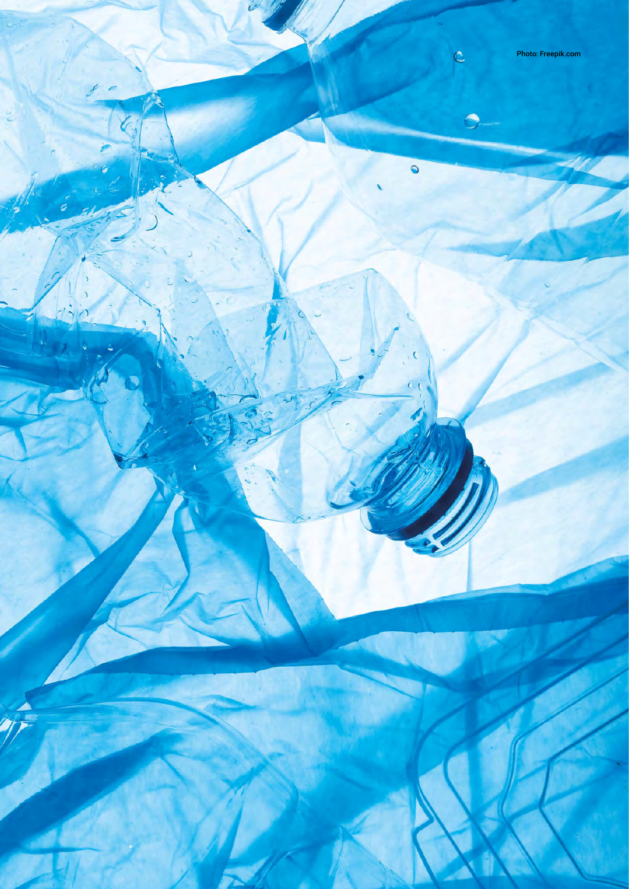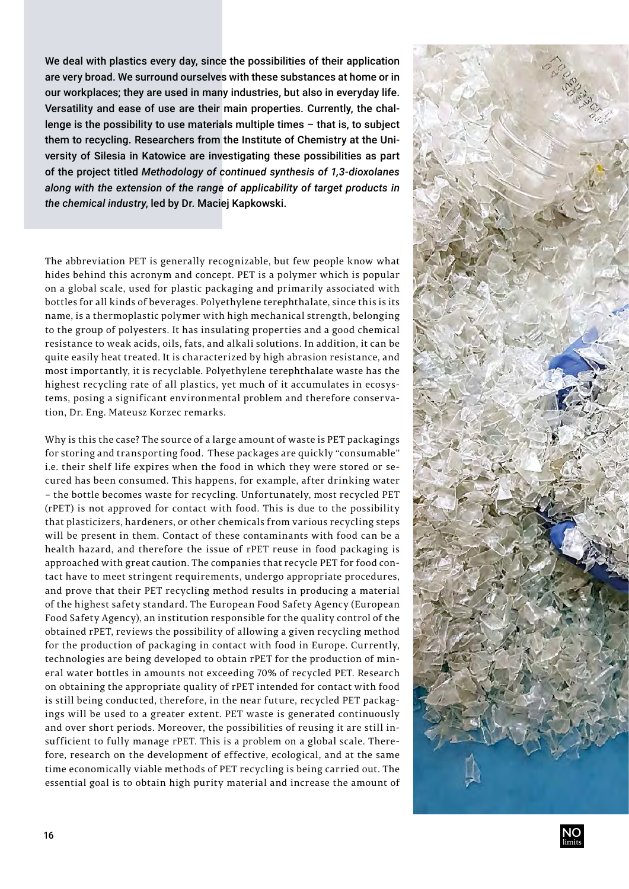We deal with plastics every day, since the possibilities of their application are very broad. We surround ourselves with these substances at home or in our workplaces; they are used in many industries, but also in everyday life. Versatility and ease of use are their main properties. Currently, the challenge is the possibility to use materials multiple times – that is, to subject them to recycling. Researchers from the Institute of Chemistry at the University of Silesia in Katowice are investigating these possibilities as part of the project titled *Methodology of continued synthesis of 1,3-dioxolanes along with the extension of the range of applicability of target products in the chemical industry*, led by Dr. Maciej Kapkowski.

The abbreviation PET is generally recognizable, but few people know what hides behind this acronym and concept. PET is a polymer which is popular on a global scale, used for plastic packaging and primarily associated with bottles for all kinds of beverages. Polyethylene terephthalate, since this is its name, is a thermoplastic polymer with high mechanical strength, belonging to the group of polyesters. It has insulating properties and a good chemical resistance to weak acids, oils, fats, and alkali solutions. In addition, it can be quite easily heat treated. It is characterized by high abrasion resistance, and most importantly, it is recyclable. Polyethylene terephthalate waste has the highest recycling rate of all plastics, yet much of it accumulates in ecosystems, posing a significant environmental problem and therefore conservation, Dr. Eng. Mateusz Korzec remarks.

Why is this the case? The source of a large amount of waste is PET packagings for storing and transporting food. These packages are quickly "consumable" i.e. their shelf life expires when the food in which they were stored or secured has been consumed. This happens, for example, after drinking water – the bottle becomes waste for recycling. Unfortunately, most recycled PET (rPET) is not approved for contact with food. This is due to the possibility that plasticizers, hardeners, or other chemicals from various recycling steps will be present in them. Contact of these contaminants with food can be a health hazard, and therefore the issue of rPET reuse in food packaging is approached with great caution. The companies that recycle PET for food contact have to meet stringent requirements, undergo appropriate procedures, and prove that their PET recycling method results in producing a material of the highest safety standard. The European Food Safety Agency (European Food Safety Agency), an institution responsible for the quality control of the obtained rPET, reviews the possibility of allowing a given recycling method for the production of packaging in contact with food in Europe. Currently, technologies are being developed to obtain rPET for the production of mineral water bottles in amounts not exceeding 70% of recycled PET. Research on obtaining the appropriate quality of rPET intended for contact with food is still being conducted, therefore, in the near future, recycled PET packagings will be used to a greater extent. PET waste is generated continuously and over short periods. Moreover, the possibilities of reusing it are still insufficient to fully manage rPET. This is a problem on a global scale. Therefore, research on the development of effective, ecological, and at the same time economically viable methods of PET recycling is being carried out. The essential goal is to obtain high purity material and increase the amount of